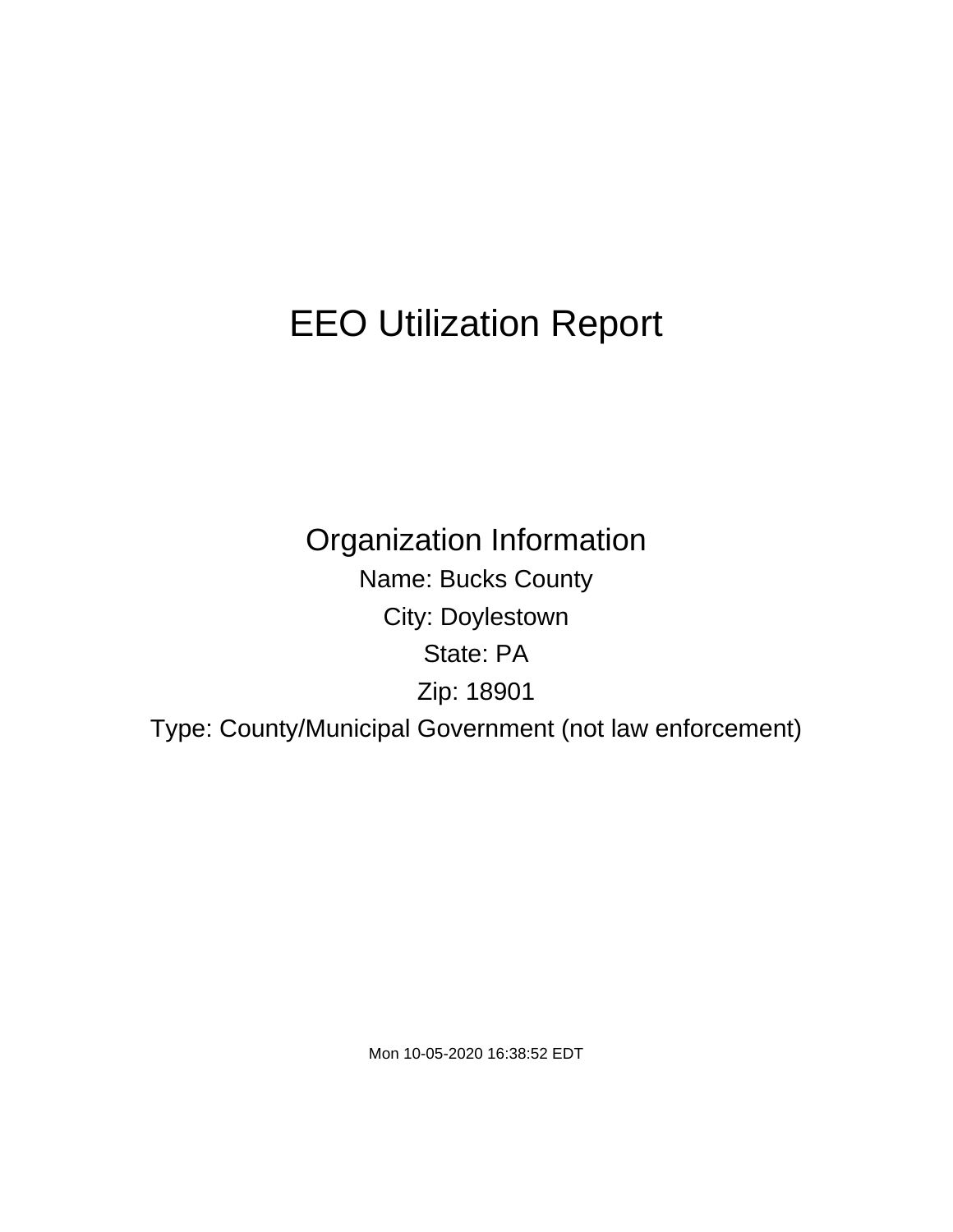# EEO Utilization Report

Organization Information Name: Bucks County City: Doylestown State: PA Zip: 18901 Type: County/Municipal Government (not law enforcement)

Mon 10-05-2020 16:38:52 EDT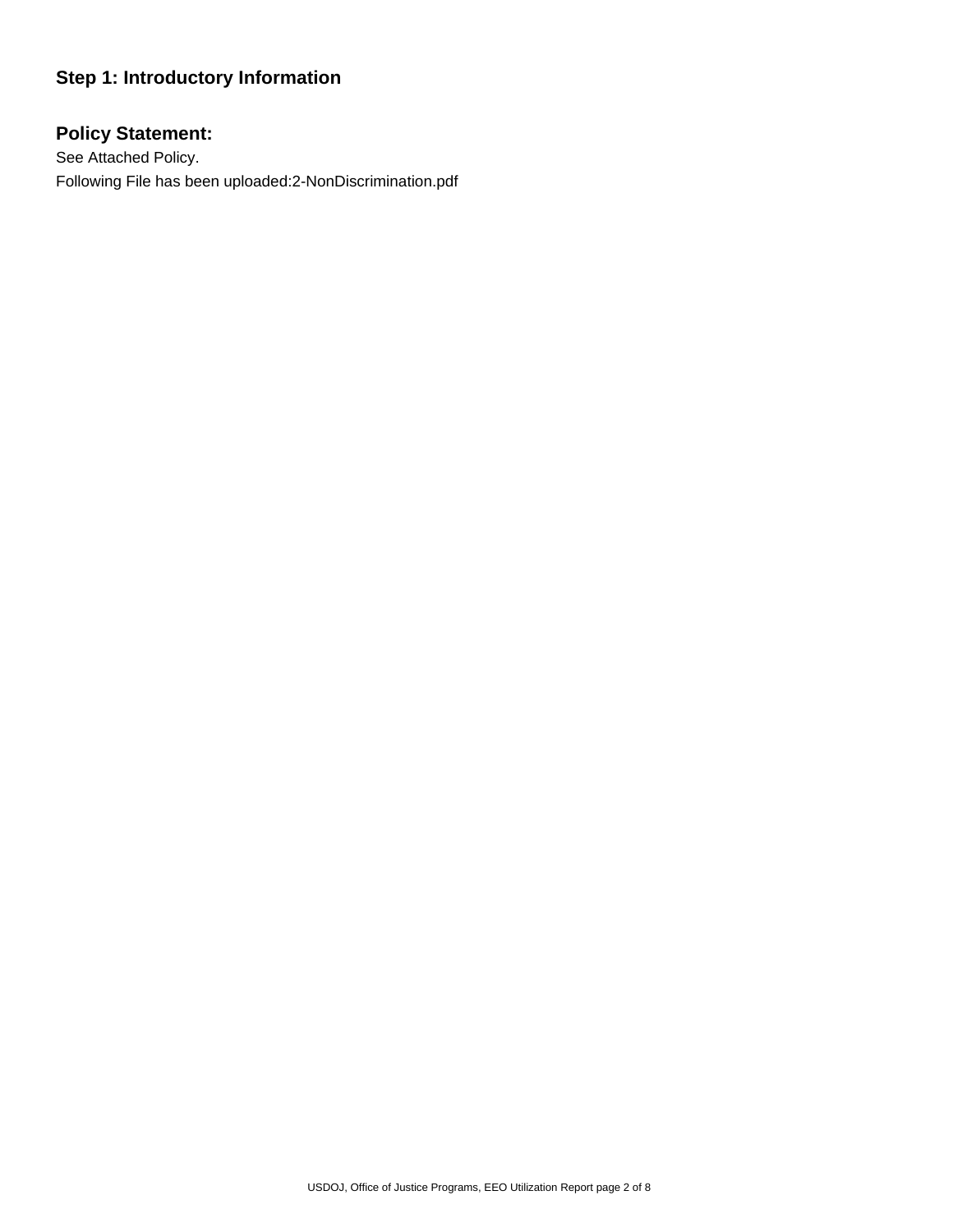# **Step 1: Introductory Information**

# **Policy Statement:**

See Attached Policy. Following File has been uploaded:2-NonDiscrimination.pdf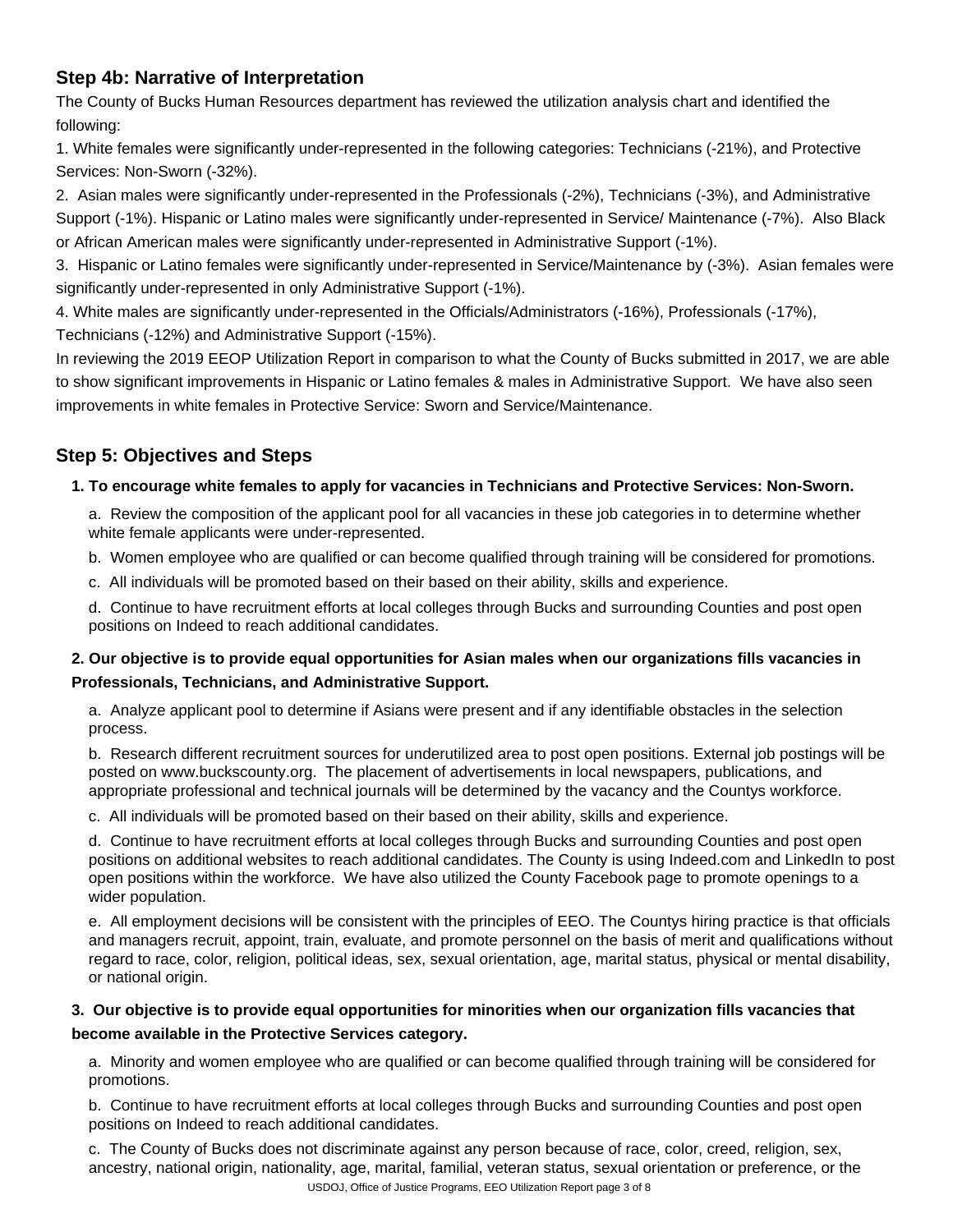## **Step 4b: Narrative of Interpretation**

The County of Bucks Human Resources department has reviewed the utilization analysis chart and identified the following:

1. White females were significantly under-represented in the following categories: Technicians (-21%), and Protective Services: Non-Sworn (-32%).

2. Asian males were significantly under-represented in the Professionals (-2%), Technicians (-3%), and Administrative Support (-1%). Hispanic or Latino males were significantly under-represented in Service/ Maintenance (-7%). Also Black or African American males were significantly under-represented in Administrative Support (-1%).

3. Hispanic or Latino females were significantly under-represented in Service/Maintenance by (-3%). Asian females were significantly under-represented in only Administrative Support (-1%).

4. White males are significantly under-represented in the Officials/Administrators (-16%), Professionals (-17%), Technicians (-12%) and Administrative Support (-15%).

In reviewing the 2019 EEOP Utilization Report in comparison to what the County of Bucks submitted in 2017, we are able to show significant improvements in Hispanic or Latino females & males in Administrative Support. We have also seen improvements in white females in Protective Service: Sworn and Service/Maintenance.

# **Step 5: Objectives and Steps**

## **1. To encourage white females to apply for vacancies in Technicians and Protective Services: Non-Sworn.**

a. Review the composition of the applicant pool for all vacancies in these job categories in to determine whether white female applicants were under-represented.

b. Women employee who are qualified or can become qualified through training will be considered for promotions.

c. All individuals will be promoted based on their based on their ability, skills and experience.

d. Continue to have recruitment efforts at local colleges through Bucks and surrounding Counties and post open positions on Indeed to reach additional candidates.

## **2. Our objective is to provide equal opportunities for Asian males when our organizations fills vacancies in Professionals, Technicians, and Administrative Support.**

a. Analyze applicant pool to determine if Asians were present and if any identifiable obstacles in the selection process.

b. Research different recruitment sources for underutilized area to post open positions. External job postings will be posted on www.buckscounty.org. The placement of advertisements in local newspapers, publications, and appropriate professional and technical journals will be determined by the vacancy and the Countys workforce.

c. All individuals will be promoted based on their based on their ability, skills and experience.

d. Continue to have recruitment efforts at local colleges through Bucks and surrounding Counties and post open positions on additional websites to reach additional candidates. The County is using Indeed.com and LinkedIn to post open positions within the workforce. We have also utilized the County Facebook page to promote openings to a wider population.

e. All employment decisions will be consistent with the principles of EEO. The Countys hiring practice is that officials and managers recruit, appoint, train, evaluate, and promote personnel on the basis of merit and qualifications without regard to race, color, religion, political ideas, sex, sexual orientation, age, marital status, physical or mental disability, or national origin.

## **3. Our objective is to provide equal opportunities for minorities when our organization fills vacancies that become available in the Protective Services category.**

a. Minority and women employee who are qualified or can become qualified through training will be considered for promotions.

b. Continue to have recruitment efforts at local colleges through Bucks and surrounding Counties and post open positions on Indeed to reach additional candidates.

c. The County of Bucks does not discriminate against any person because of race, color, creed, religion, sex, ancestry, national origin, nationality, age, marital, familial, veteran status, sexual orientation or preference, or the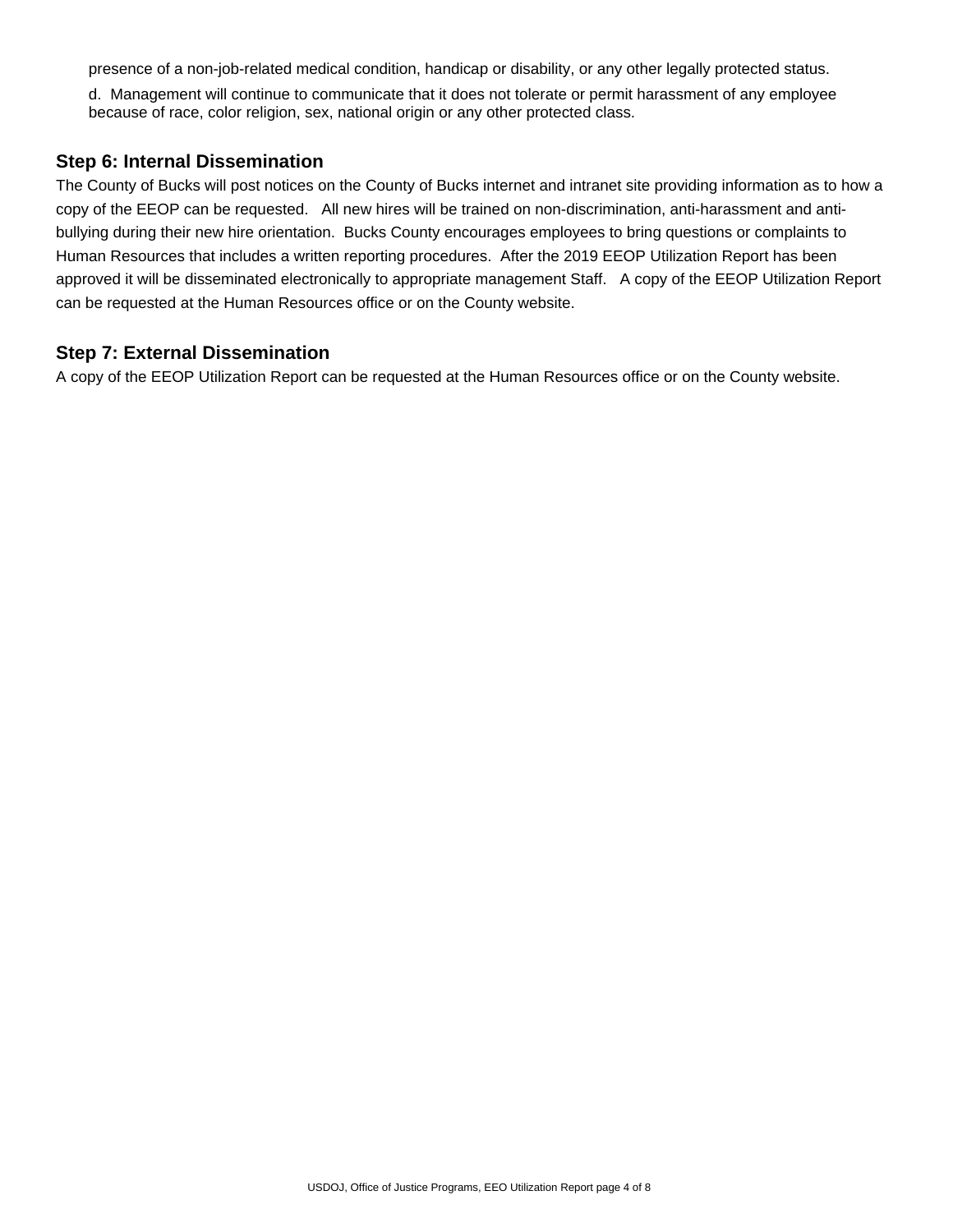presence of a non-job-related medical condition, handicap or disability, or any other legally protected status.

d. Management will continue to communicate that it does not tolerate or permit harassment of any employee because of race, color religion, sex, national origin or any other protected class.

#### **Step 6: Internal Dissemination**

The County of Bucks will post notices on the County of Bucks internet and intranet site providing information as to how a copy of the EEOP can be requested. All new hires will be trained on non-discrimination, anti-harassment and antibullying during their new hire orientation. Bucks County encourages employees to bring questions or complaints to Human Resources that includes a written reporting procedures. After the 2019 EEOP Utilization Report has been approved it will be disseminated electronically to appropriate management Staff. A copy of the EEOP Utilization Report can be requested at the Human Resources office or on the County website.

### **Step 7: External Dissemination**

A copy of the EEOP Utilization Report can be requested at the Human Resources office or on the County website.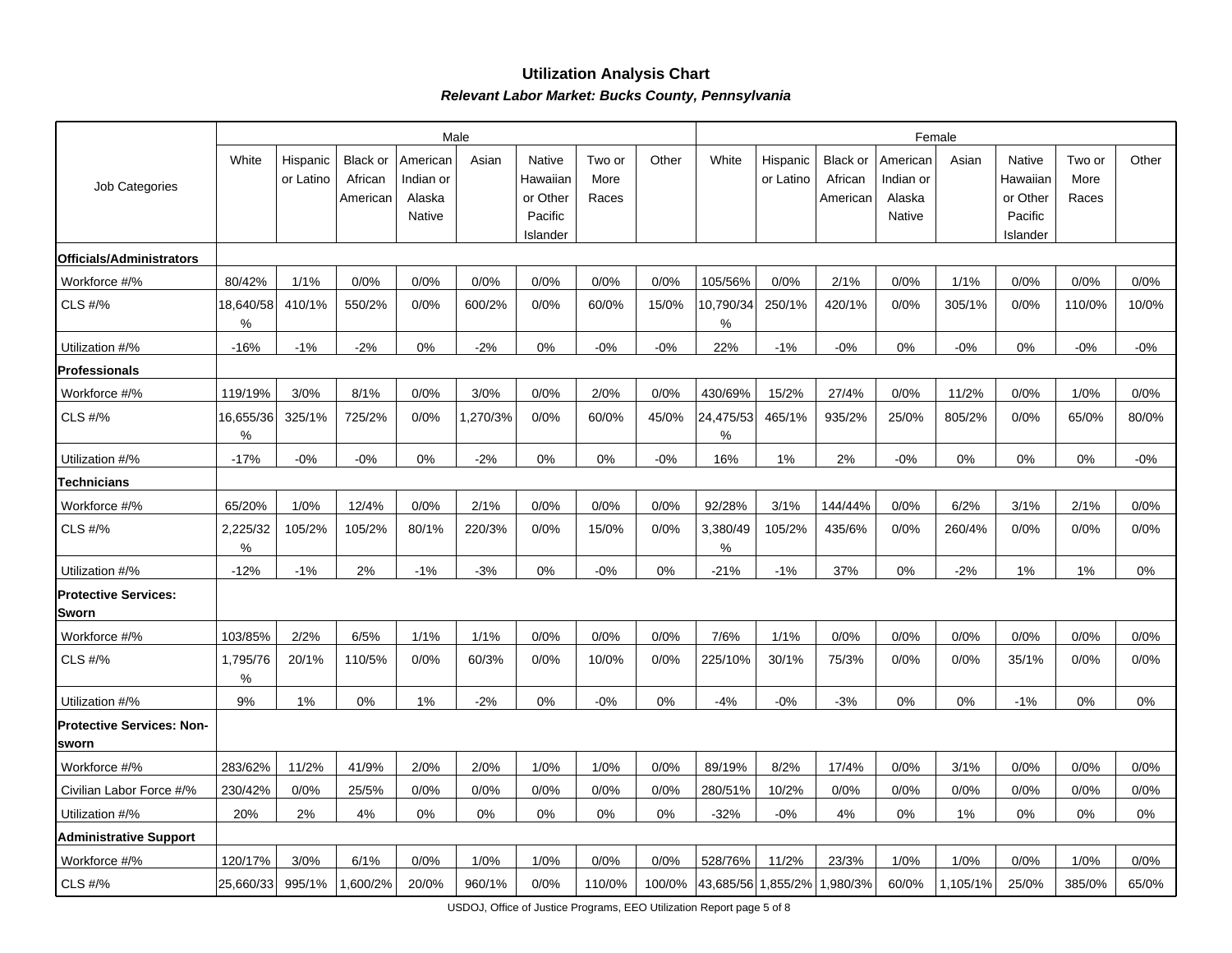#### **Utilization Analysis ChartRelevant Labor Market: Bucks County, Pennsylvania**

|                                           |                |                       |                                        |                                           | Male     |                                                       |                         | Female |                  |                       |                                 |                                           |          |                                                       |                         |       |
|-------------------------------------------|----------------|-----------------------|----------------------------------------|-------------------------------------------|----------|-------------------------------------------------------|-------------------------|--------|------------------|-----------------------|---------------------------------|-------------------------------------------|----------|-------------------------------------------------------|-------------------------|-------|
| Job Categories                            | White          | Hispanic<br>or Latino | <b>Black or</b><br>African<br>American | American<br>Indian or<br>Alaska<br>Native | Asian    | Native<br>Hawaiian<br>or Other<br>Pacific<br>Islander | Two or<br>More<br>Races | Other  | White            | Hispanic<br>or Latino | Black or<br>African<br>American | American<br>Indian or<br>Alaska<br>Native | Asian    | Native<br>Hawaiian<br>or Other<br>Pacific<br>Islander | Two or<br>More<br>Races | Other |
| Officials/Administrators                  |                |                       |                                        |                                           |          |                                                       |                         |        |                  |                       |                                 |                                           |          |                                                       |                         |       |
| Workforce #/%                             | 80/42%         | 1/1%                  | 0/0%                                   | 0/0%                                      | 0/0%     | 0/0%                                                  | 0/0%                    | 0/0%   | 105/56%          | 0/0%                  | 2/1%                            | 0/0%                                      | 1/1%     | 0/0%                                                  | 0/0%                    | 0/0%  |
| CLS #/%                                   | 18,640/58<br>℅ | 410/1%                | 550/2%                                 | 0/0%                                      | 600/2%   | 0/0%                                                  | 60/0%                   | 15/0%  | 10,790/34<br>%   | 250/1%                | 420/1%                          | 0/0%                                      | 305/1%   | 0/0%                                                  | 110/0%                  | 10/0% |
| Utilization #/%                           | $-16%$         | $-1%$                 | $-2%$                                  | 0%                                        | $-2%$    | 0%                                                    | $-0%$                   | $-0%$  | 22%              | $-1%$                 | $-0%$                           | 0%                                        | $-0%$    | 0%                                                    | $-0%$                   | $-0%$ |
| <b>Professionals</b>                      |                |                       |                                        |                                           |          |                                                       |                         |        |                  |                       |                                 |                                           |          |                                                       |                         |       |
| Workforce #/%                             | 119/19%        | 3/0%                  | 8/1%                                   | 0/0%                                      | 3/0%     | 0/0%                                                  | 2/0%                    | 0/0%   | 430/69%          | 15/2%                 | 27/4%                           | 0/0%                                      | 11/2%    | 0/0%                                                  | 1/0%                    | 0/0%  |
| CLS #/%                                   | 16,655/36<br>℅ | 325/1%                | 725/2%                                 | 0/0%                                      | 1,270/3% | 0/0%                                                  | 60/0%                   | 45/0%  | 24,475/53<br>℅   | 465/1%                | 935/2%                          | 25/0%                                     | 805/2%   | 0/0%                                                  | 65/0%                   | 80/0% |
| Utilization #/%                           | $-17%$         | $-0%$                 | $-0%$                                  | 0%                                        | $-2%$    | 0%                                                    | 0%                      | $-0%$  | 16%              | 1%                    | 2%                              | $-0%$                                     | 0%       | 0%                                                    | 0%                      | $-0%$ |
| <b>Technicians</b>                        |                |                       |                                        |                                           |          |                                                       |                         |        |                  |                       |                                 |                                           |          |                                                       |                         |       |
| Workforce #/%                             | 65/20%         | 1/0%                  | 12/4%                                  | 0/0%                                      | 2/1%     | 0/0%                                                  | 0/0%                    | 0/0%   | 92/28%           | 3/1%                  | 144/44%                         | 0/0%                                      | 6/2%     | 3/1%                                                  | 2/1%                    | 0/0%  |
| CLS #/%                                   | 2,225/32<br>%  | 105/2%                | 105/2%                                 | 80/1%                                     | 220/3%   | 0/0%                                                  | 15/0%                   | 0/0%   | 3,380/49<br>$\%$ | 105/2%                | 435/6%                          | 0/0%                                      | 260/4%   | 0/0%                                                  | 0/0%                    | 0/0%  |
| Utilization #/%                           | $-12%$         | $-1%$                 | 2%                                     | $-1%$                                     | $-3%$    | 0%                                                    | $-0%$                   | 0%     | $-21%$           | $-1%$                 | 37%                             | 0%                                        | $-2%$    | 1%                                                    | 1%                      | 0%    |
| <b>Protective Services:</b><br>Sworn      |                |                       |                                        |                                           |          |                                                       |                         |        |                  |                       |                                 |                                           |          |                                                       |                         |       |
| Workforce #/%                             | 103/85%        | 2/2%                  | 6/5%                                   | 1/1%                                      | 1/1%     | 0/0%                                                  | 0/0%                    | 0/0%   | 7/6%             | 1/1%                  | 0/0%                            | 0/0%                                      | 0/0%     | 0/0%                                                  | 0/0%                    | 0/0%  |
| CLS #/%                                   | 1,795/76<br>℅  | 20/1%                 | 110/5%                                 | 0/0%                                      | 60/3%    | 0/0%                                                  | 10/0%                   | 0/0%   | 225/10%          | 30/1%                 | 75/3%                           | 0/0%                                      | 0/0%     | 35/1%                                                 | 0/0%                    | 0/0%  |
| Utilization #/%                           | 9%             | 1%                    | 0%                                     | 1%                                        | $-2%$    | 0%                                                    | $-0%$                   | 0%     | $-4%$            | $-0%$                 | $-3%$                           | 0%                                        | 0%       | $-1%$                                                 | 0%                      | 0%    |
| <b>Protective Services: Non-</b><br>sworn |                |                       |                                        |                                           |          |                                                       |                         |        |                  |                       |                                 |                                           |          |                                                       |                         |       |
| Workforce #/%                             | 283/62%        | 11/2%                 | 41/9%                                  | 2/0%                                      | 2/0%     | 1/0%                                                  | 1/0%                    | 0/0%   | 89/19%           | 8/2%                  | 17/4%                           | 0/0%                                      | 3/1%     | 0/0%                                                  | 0/0%                    | 0/0%  |
| Civilian Labor Force #/%                  | 230/42%        | 0/0%                  | 25/5%                                  | 0/0%                                      | 0/0%     | 0/0%                                                  | 0/0%                    | 0/0%   | 280/51%          | 10/2%                 | 0/0%                            | 0/0%                                      | 0/0%     | 0/0%                                                  | 0/0%                    | 0/0%  |
| Utilization #/%                           | 20%            | 2%                    | 4%                                     | 0%                                        | 0%       | 0%                                                    | 0%                      | 0%     | $-32%$           | $-0%$                 | 4%                              | 0%                                        | 1%       | 0%                                                    | 0%                      | 0%    |
| <b>Administrative Support</b>             |                |                       |                                        |                                           |          |                                                       |                         |        |                  |                       |                                 |                                           |          |                                                       |                         |       |
| Workforce #/%                             | 120/17%        | 3/0%                  | 6/1%                                   | 0/0%                                      | 1/0%     | 1/0%                                                  | 0/0%                    | 0/0%   | 528/76%          | 11/2%                 | 23/3%                           | 1/0%                                      | 1/0%     | 0/0%                                                  | 1/0%                    | 0/0%  |
| CLS #/%                                   | 25,660/33      | 995/1%                | 1,600/2%                               | 20/0%                                     | 960/1%   | 0/0%                                                  | 110/0%                  | 100/0% |                  | 43,685/56 1,855/2%    | 1,980/3%                        | 60/0%                                     | 1,105/1% | 25/0%                                                 | 385/0%                  | 65/0% |

USDOJ, Office of Justice Programs, EEO Utilization Report page 5 of 8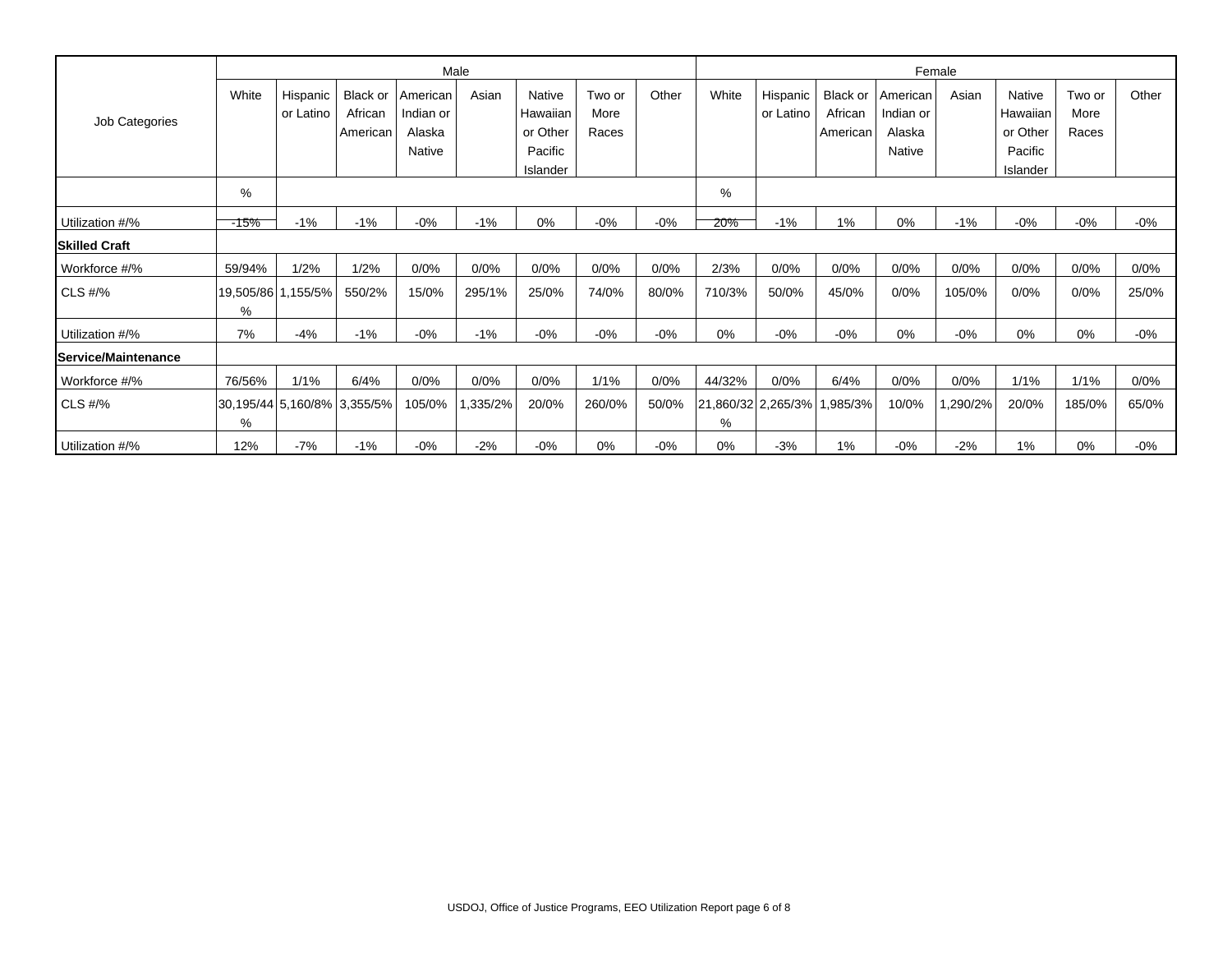|                      |        |                       |                                |                       | Male     |                     |                | Female |                         |                       |                     |                       |         |                     |                |        |
|----------------------|--------|-----------------------|--------------------------------|-----------------------|----------|---------------------|----------------|--------|-------------------------|-----------------------|---------------------|-----------------------|---------|---------------------|----------------|--------|
| Job Categories       | White  | Hispanic<br>or Latino | <b>Black or</b><br>African     | American<br>Indian or | Asian    | Native<br>Hawaiian  | Two or<br>More | Other  | White                   | Hispanic<br>or Latino | Black or<br>African | American<br>Indian or | Asian   | Native<br>Hawaiian  | Two or<br>More | Other  |
|                      |        |                       | American                       | Alaska                |          | or Other            | Races          |        |                         |                       | American            | Alaska                |         | or Other            | Races          |        |
|                      |        |                       |                                | Native                |          | Pacific<br>Islander |                |        |                         |                       |                     | Native                |         | Pacific<br>Islander |                |        |
|                      | %      |                       |                                |                       |          |                     |                |        | $\%$                    |                       |                     |                       |         |                     |                |        |
| Utilization #/%      | -15%   | $-1%$                 | $-1%$                          | $-0%$                 | $-1%$    | 0%                  | $-0%$          | $-0%$  | 20%                     | $-1%$                 | 1%                  | 0%                    | $-1%$   | $-0%$               | $-0%$          | $-0%$  |
| <b>Skilled Craft</b> |        |                       |                                |                       |          |                     |                |        |                         |                       |                     |                       |         |                     |                |        |
| Workforce #/%        | 59/94% | 1/2%                  | 1/2%                           | 0/0%                  | 0/0%     | 0/0%                | 0/0%           | 0/0%   | 2/3%                    | 0/0%                  | 0/0%                | 0/0%                  | 0/0%    | 0/0%                | 0/0%           | 0/0%   |
| CLS #/%              | %      | 19,505/86 1,155/5%    | 550/2%                         | 15/0%                 | 295/1%   | 25/0%               | 74/0%          | 80/0%  | 710/3%                  | 50/0%                 | 45/0%               | 0/0%                  | 105/0%  | 0/0%                | 0/0%           | 25/0%  |
| Utilization #/%      | 7%     | -4%                   | $-1%$                          | $-0%$                 | $-1%$    | $-0\%$              | $-0%$          | $-0%$  | 0%                      | $-0%$                 | $-0%$               | 0%                    | $-0%$   | 0%                  | 0%             | $-0\%$ |
| Service/Maintenance  |        |                       |                                |                       |          |                     |                |        |                         |                       |                     |                       |         |                     |                |        |
| Workforce #/%        | 76/56% | 1/1%                  | 6/4%                           | 0/0%                  | 0/0%     | 0/0%                | 1/1%           | 0/0%   | 44/32%                  | 0/0%                  | 6/4%                | 0/0%                  | 0/0%    | 1/1%                | 1/1%           | 0/0%   |
| $CLS$ #/%            | %      |                       | 30,195/44  5,160/8%   3,355/5% | 105/0%                | 1,335/2% | 20/0%               | 260/0%         | 50/0%  | 21,860/32 2,265/3%<br>% |                       | 1,985/3%            | 10/0%                 | ,290/2% | 20/0%               | 185/0%         | 65/0%  |
| Utilization #/%      | 12%    | $-7%$                 | $-1%$                          | $-0%$                 | $-2%$    | $-0\%$              | 0%             | $-0%$  | 0%                      | $-3%$                 | 1%                  | $-0%$                 | $-2%$   | 1%                  | 0%             | -0%    |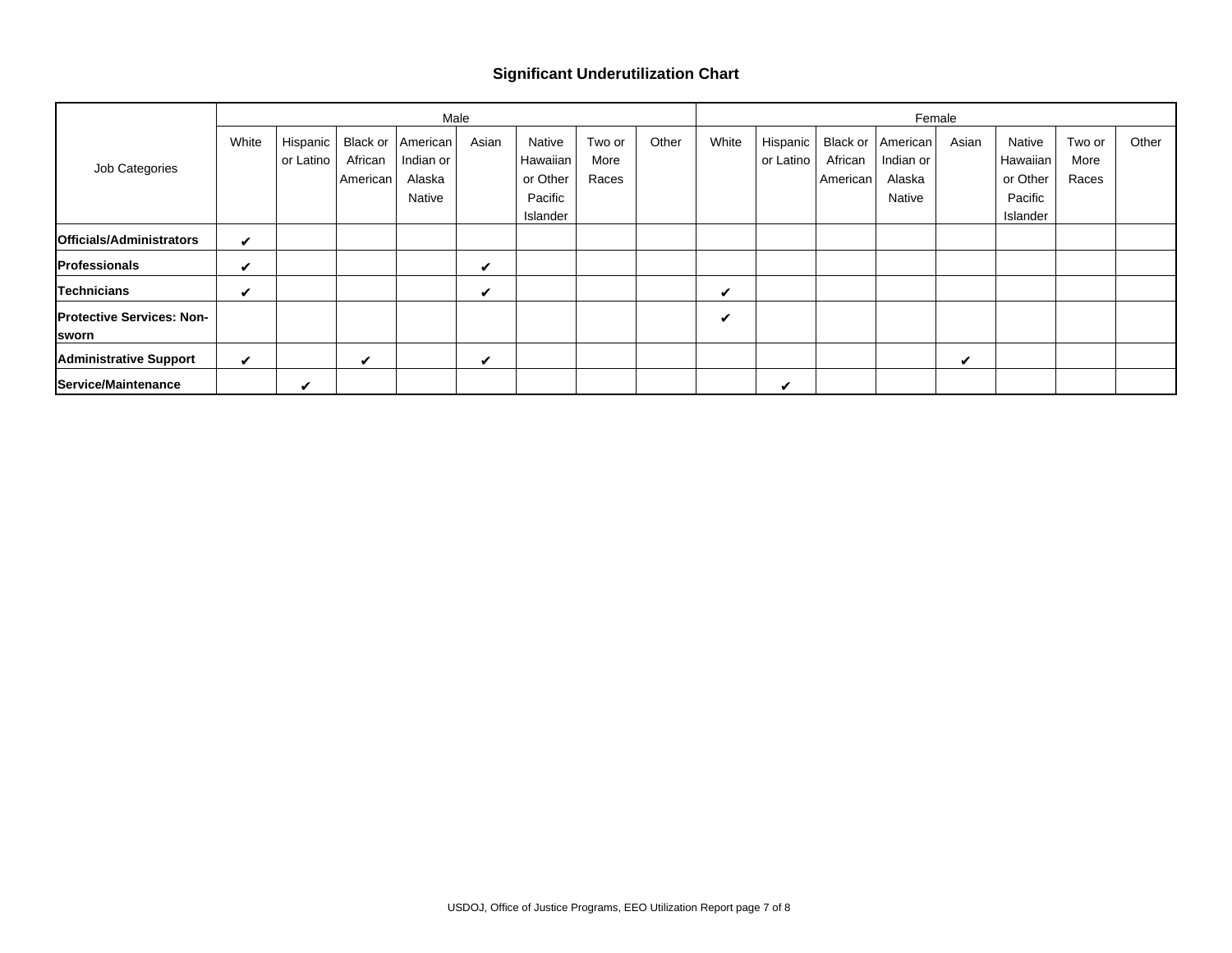#### **Significant Underutilization Chart**

|                                   |       |           |          | Male      |       |          |        | Female |       |           |          |                     |       |          |        |       |
|-----------------------------------|-------|-----------|----------|-----------|-------|----------|--------|--------|-------|-----------|----------|---------------------|-------|----------|--------|-------|
| Job Categories                    | White | Hispanic  | Black or | American  | Asian | Native   | Two or | Other  | White | Hispanic  |          | Black or   American | Asian | Native   | Two or | Other |
|                                   |       | or Latino | African  | Indian or |       | Hawaiian | More   |        |       | or Latino | African  | Indian or           |       | Hawaiian | More   |       |
|                                   |       |           | American | Alaska    |       | or Other | Races  |        |       |           | American | Alaska              |       | or Other | Races  |       |
|                                   |       |           |          | Native    |       | Pacific  |        |        |       |           |          | Native              |       | Pacific  |        |       |
|                                   |       |           |          |           |       | Islander |        |        |       |           |          |                     |       | Islander |        |       |
| Officials/Administrators          | V     |           |          |           |       |          |        |        |       |           |          |                     |       |          |        |       |
| Professionals                     | V     |           |          |           | ✓     |          |        |        |       |           |          |                     |       |          |        |       |
| Technicians                       | V     |           |          |           | ✓     |          |        |        | ✓     |           |          |                     |       |          |        |       |
| <b>IProtective Services: Non-</b> |       |           |          |           |       |          |        |        | ✓     |           |          |                     |       |          |        |       |
| <b>Sworn</b>                      |       |           |          |           |       |          |        |        |       |           |          |                     |       |          |        |       |
| <b>Administrative Support</b>     | ✓     |           | ✓        |           | ✓     |          |        |        |       |           |          |                     | ✔     |          |        |       |
| Service/Maintenance               |       | ✔         |          |           |       |          |        |        |       | ✔         |          |                     |       |          |        |       |